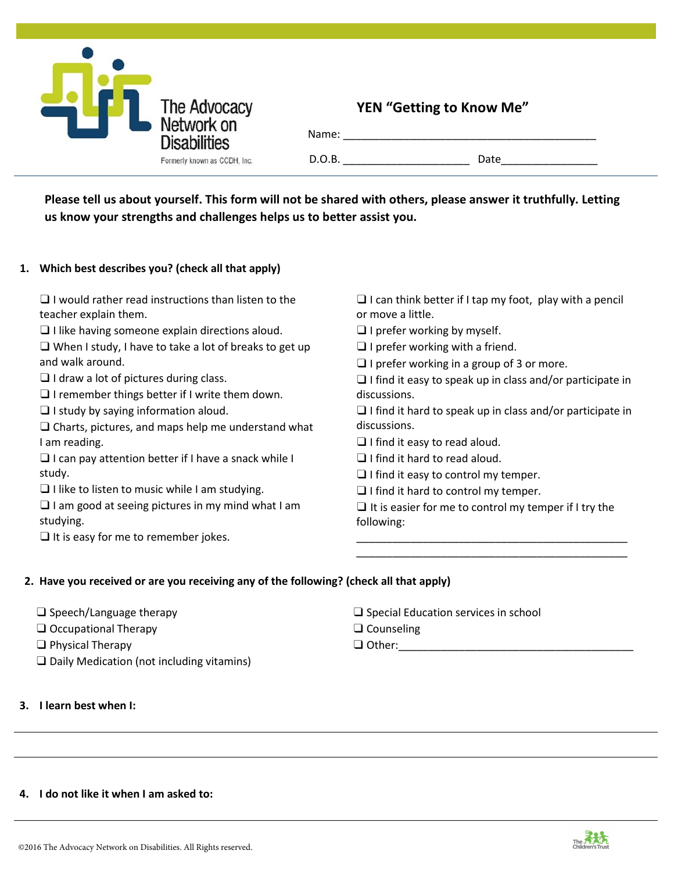

## **YEN "Getting to Know Me"**

| Name:  |      |
|--------|------|
| D.O.B. | Date |

**Please tell us about yourself. This form will not be shared with others, please answer it truthfully. Letting us know your strengths and challenges helps us to better assist you.**

### **1. Which best describes you? (check all that apply)**

| $\Box$ I would rather read instructions than listen to the |  |
|------------------------------------------------------------|--|
| teacher explain them.                                      |  |

 $\Box$  I like having someone explain directions aloud.

| $\Box$ When I study, I have to take a lot of breaks to get up |  |  |
|---------------------------------------------------------------|--|--|
| and walk around.                                              |  |  |

- ❑ I draw a lot of pictures during class.
- $\Box$  I remember things better if I write them down.
- ❑ I study by saying information aloud.

❑ Charts, pictures, and maps help me understand what I am reading.

 $\Box$  I can pay attention better if I have a snack while I study.

❑ I like to listen to music while I am studying.

 $\Box$  I am good at seeing pictures in my mind what I am studying.

 $\Box$  It is easy for me to remember jokes.

- $\Box$  I can think better if I tap my foot, play with a pencil or move a little.
- $\Box$  I prefer working by myself.
- $\Box$  I prefer working with a friend.
- $\Box$  I prefer working in a group of 3 or more.
- $\Box$  I find it easy to speak up in class and/or participate in discussions.

❑ I find it hard to speak up in class and/or participate in discussions.

- ❑ I find it easy to read aloud.
- ❑ I find it hard to read aloud.
- $\Box$  I find it easy to control my temper.
- ❑ I find it hard to control my temper.

 $\Box$  It is easier for me to control my temper if I try the following:

\_\_\_\_\_\_\_\_\_\_\_\_\_\_\_\_\_\_\_\_\_\_\_\_\_\_\_\_\_\_\_\_\_\_\_\_\_\_\_\_\_\_\_\_\_ \_\_\_\_\_\_\_\_\_\_\_\_\_\_\_\_\_\_\_\_\_\_\_\_\_\_\_\_\_\_\_\_\_\_\_\_\_\_\_\_\_\_\_\_\_

### **2. Have you received or are you receiving any of the following? (check all that apply)**

| $\square$ Speech/Language therapy |
|-----------------------------------|
|-----------------------------------|

- ❑ Occupational Therapy
- ❑ Physical Therapy
- ❑ Daily Medication (not including vitamins)
- **3. I learn best when I:**
- ❑ Special Education services in school
- ❑ Counseling

 $\Box$  Other:

#### **4. I do not like it when I am asked to:**